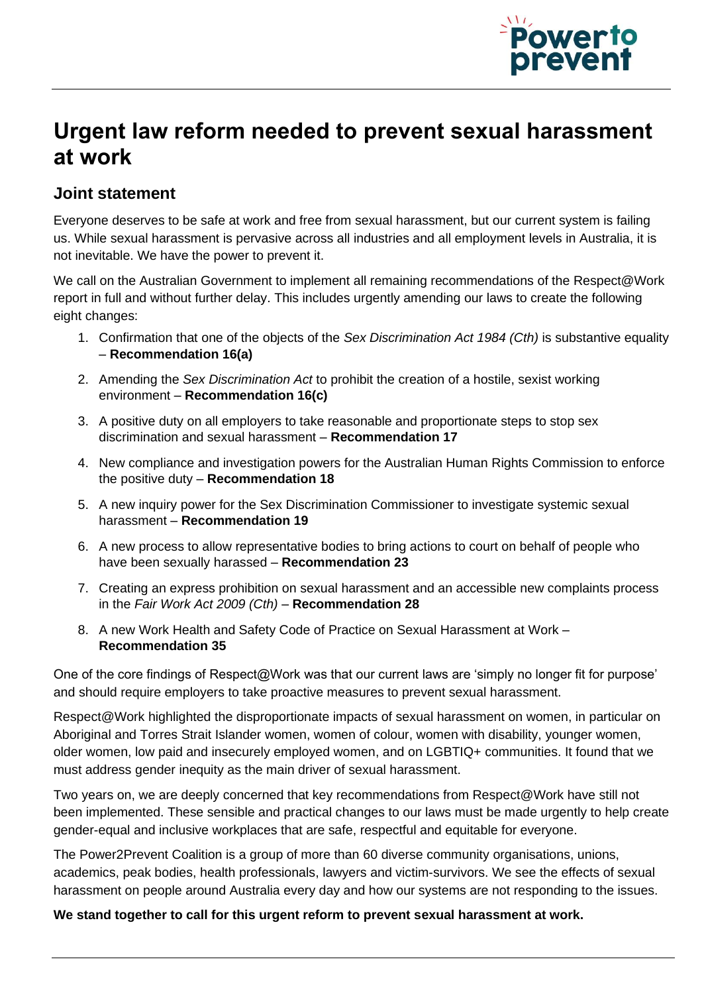

## **Urgent law reform needed to prevent sexual harassment at work**

## **Joint statement**

Everyone deserves to be safe at work and free from sexual harassment, but our current system is failing us. While sexual harassment is pervasive across all industries and all employment levels in Australia, it is not inevitable. We have the power to prevent it.

We call on the Australian Government to implement all remaining recommendations of the Respect@Work report in full and without further delay. This includes urgently amending our laws to create the following eight changes:

- 1. Confirmation that one of the objects of the *Sex Discrimination Act 1984 (Cth)* is substantive equality – **Recommendation 16(a)**
- 2. Amending the *Sex Discrimination Act* to prohibit the creation of a hostile, sexist working environment – **Recommendation 16(c)**
- 3. A positive duty on all employers to take reasonable and proportionate steps to stop sex discrimination and sexual harassment – **Recommendation 17**
- 4. New compliance and investigation powers for the Australian Human Rights Commission to enforce the positive duty – **Recommendation 18**
- 5. A new inquiry power for the Sex Discrimination Commissioner to investigate systemic sexual harassment – **Recommendation 19**
- 6. A new process to allow representative bodies to bring actions to court on behalf of people who have been sexually harassed – **Recommendation 23**
- 7. Creating an express prohibition on sexual harassment and an accessible new complaints process in the *Fair Work Act 2009 (Cth)* – **Recommendation 28**
- 8. A new Work Health and Safety Code of Practice on Sexual Harassment at Work **Recommendation 35**

One of the core findings of Respect@Work was that our current laws are 'simply no longer fit for purpose' and should require employers to take proactive measures to prevent sexual harassment.

Respect@Work highlighted the disproportionate impacts of sexual harassment on women, in particular on Aboriginal and Torres Strait Islander women, women of colour, women with disability, younger women, older women, low paid and insecurely employed women, and on LGBTIQ+ communities. It found that we must address gender inequity as the main driver of sexual harassment.

Two years on, we are deeply concerned that key recommendations from Respect@Work have still not been implemented. These sensible and practical changes to our laws must be made urgently to help create gender-equal and inclusive workplaces that are safe, respectful and equitable for everyone.

The Power2Prevent Coalition is a group of more than 60 diverse community organisations, unions, academics, peak bodies, health professionals, lawyers and victim-survivors. We see the effects of sexual harassment on people around Australia every day and how our systems are not responding to the issues.

## **We stand together to call for this urgent reform to prevent sexual harassment at work.**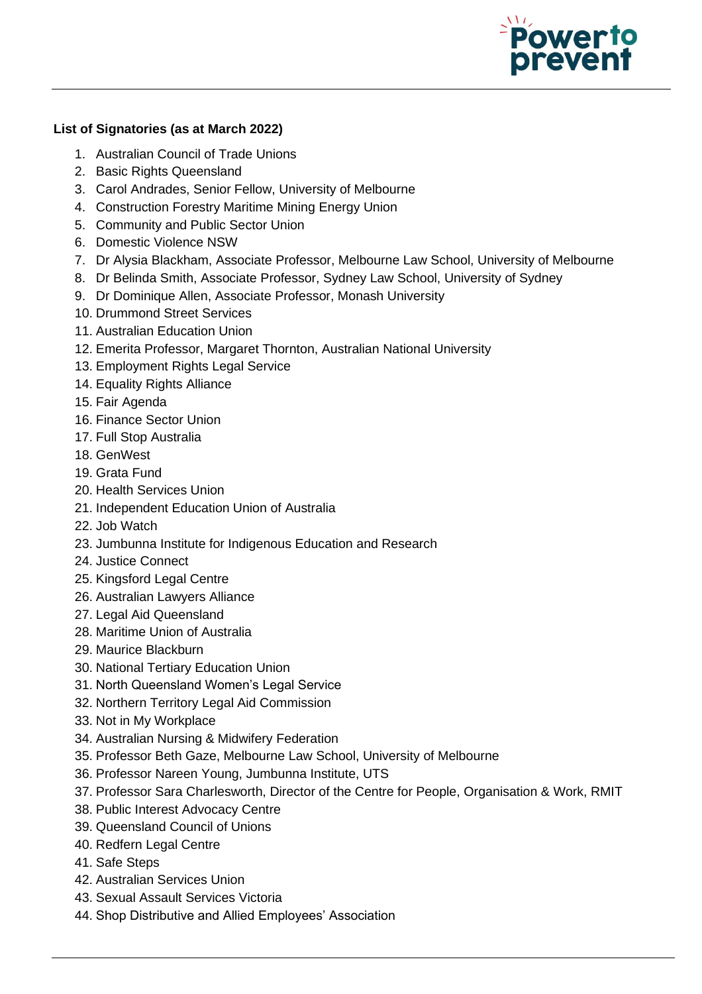

## **List of Signatories (as at March 2022)**

- 1. Australian Council of Trade Unions
- 2. Basic Rights Queensland
- 3. Carol Andrades, Senior Fellow, University of Melbourne
- 4. Construction Forestry Maritime Mining Energy Union
- 5. Community and Public Sector Union
- 6. Domestic Violence NSW
- 7. Dr Alysia Blackham, Associate Professor, Melbourne Law School, University of Melbourne
- 8. Dr Belinda Smith, Associate Professor, Sydney Law School, University of Sydney
- 9. Dr Dominique Allen, Associate Professor, Monash University
- 10. Drummond Street Services
- 11. Australian Education Union
- 12. Emerita Professor, Margaret Thornton, Australian National University
- 13. Employment Rights Legal Service
- 14. Equality Rights Alliance
- 15. Fair Agenda
- 16. Finance Sector Union
- 17. Full Stop Australia
- 18. GenWest
- 19. Grata Fund
- 20. Health Services Union
- 21. Independent Education Union of Australia
- 22. Job Watch
- 23. Jumbunna Institute for Indigenous Education and Research
- 24. Justice Connect
- 25. Kingsford Legal Centre
- 26. Australian Lawyers Alliance
- 27. Legal Aid Queensland
- 28. Maritime Union of Australia
- 29. Maurice Blackburn
- 30. National Tertiary Education Union
- 31. North Queensland Women's Legal Service
- 32. Northern Territory Legal Aid Commission
- 33. Not in My Workplace
- 34. Australian Nursing & Midwifery Federation
- 35. Professor Beth Gaze, Melbourne Law School, University of Melbourne
- 36. Professor Nareen Young, Jumbunna Institute, UTS
- 37. Professor Sara Charlesworth, Director of the Centre for People, Organisation & Work, RMIT
- 38. Public Interest Advocacy Centre
- 39. Queensland Council of Unions
- 40. Redfern Legal Centre
- 41. Safe Steps
- 42. Australian Services Union
- 43. Sexual Assault Services Victoria
- 44. Shop Distributive and Allied Employees' Association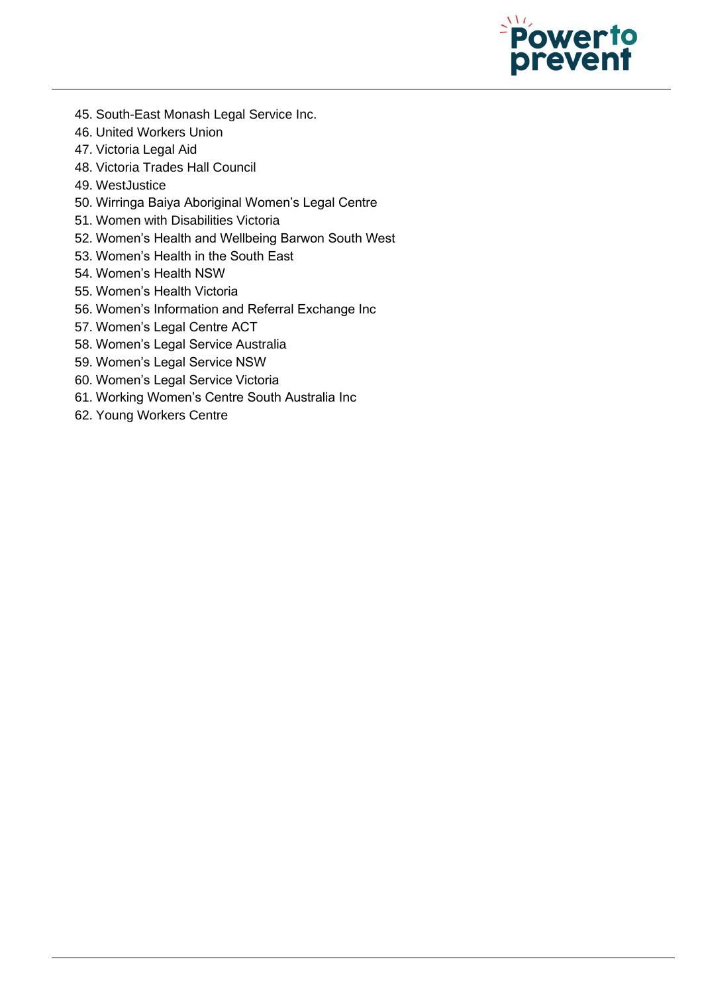

- 45. South-East Monash Legal Service Inc.
- 46. United Workers Union
- 47. Victoria Legal Aid
- 48. Victoria Trades Hall Council
- 49. WestJustice
- 50. Wirringa Baiya Aboriginal Women's Legal Centre
- 51. Women with Disabilities Victoria
- 52. Women's Health and Wellbeing Barwon South West
- 53. Women's Health in the South East
- 54. Women's Health NSW
- 55. Women's Health Victoria
- 56. Women's Information and Referral Exchange Inc
- 57. Women's Legal Centre ACT
- 58. Women's Legal Service Australia
- 59. Women's Legal Service NSW
- 60. Women's Legal Service Victoria
- 61. Working Women's Centre South Australia Inc
- 62. Young Workers Centre